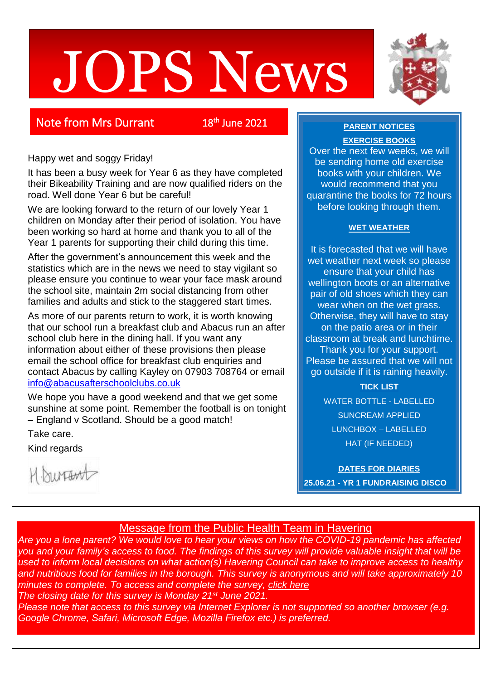# JOPS News



# **Note from Mrs Durrant**

# <sup>th</sup> June 2021

**EXERCISE BOOKS**

Over the next few weeks, we will be sending home old exercise books with your children. We would recommend that you quarantine the books for 72 hours before looking through them.

**PARENT NOTICES**

## **WET WEATHER**

It is forecasted that we will have wet weather next week so please ensure that your child has wellington boots or an alternative pair of old shoes which they can wear when on the wet grass. Otherwise, they will have to stay on the patio area or in their classroom at break and lunchtime. Thank you for your support. Please be assured that we will not go outside if it is raining heavily.

> **TICK LIST** WATER BOTTLE - LABELLED SUNCREAM APPLIED LUNCHBOX – LABELLED HAT (IF NEEDED)

**DATES FOR DIARIES 25.06.21 - YR 1 FUNDRAISING DISCO** 

## Happy wet and soggy Friday!

It has been a busy week for Year 6 as they have completed their Bikeability Training and are now qualified riders on the road. Well done Year 6 but be careful!

We are looking forward to the return of our lovely Year 1 children on Monday after their period of isolation. You have been working so hard at home and thank you to all of the Year 1 parents for supporting their child during this time.

After the government's announcement this week and the statistics which are in the news we need to stay vigilant so please ensure you continue to wear your face mask around the school site, maintain 2m social distancing from other families and adults and stick to the staggered start times.

As more of our parents return to work, it is worth knowing that our school run a breakfast club and Abacus run an after school club here in the dining hall. If you want any information about either of these provisions then please email the school office for breakfast club enquiries and contact Abacus by calling Kayley on 07903 708764 or email [info@abacusafterschoolclubs.co.uk](mailto:info@abacusafterschoolclubs.co.uk)

We hope you have a good weekend and that we get some sunshine at some point. Remember the football is on tonight – England v Scotland. Should be a good match!

Take care.

Kind regards

1. burtant

## Message from the Public Health Team in Havering

*Are you a lone parent? We would love to hear your views on how the COVID-19 pandemic has affected you and your family's access to food. The findings of this survey will provide valuable insight that will be used to inform local decisions on what action(s) Havering Council can take to improve access to healthy and nutritious food for families in the borough. This survey is anonymous and will take approximately 10 minutes to complete. To access and complete the survey, [click here](https://docs.google.com/forms/d/e/1FAIpQLSctxlRGbVnIjKmAUwSiojfhLfil44273648t1mNLfxXPRKqCA/viewform) The closing date for this survey is Monday 21st June 2021.*

*Please note that access to this survey via Internet Explorer is not supported so another browser (e.g. Google Chrome, Safari, Microsoft Edge, Mozilla Firefox etc.) is preferred.*